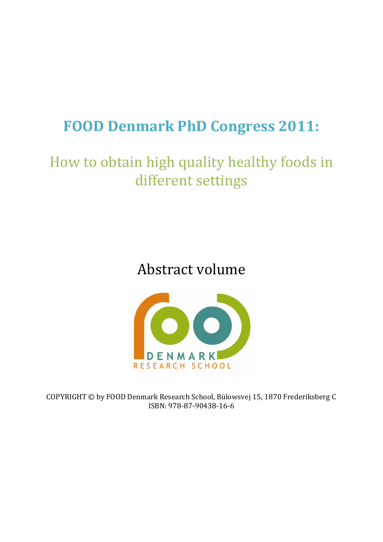# **FOOD Denmark PhD Congress 2011:**

# How to obtain high quality healthy foods in different settings

## Abstract volume



COPYRIGHT © by FOOD Denmark Research School, Bülowsvej 15, 1870 Frederiksberg C ISBN: 978-87-90438-16-6